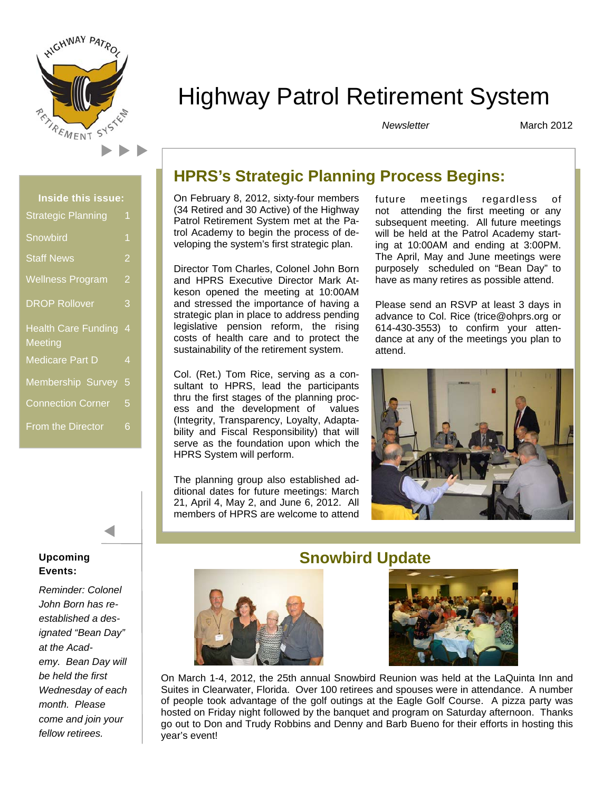

# Highway Patrol Retirement System

*Newsletter* 

March 2012

| <b>Inside this issue:</b>  |   |
|----------------------------|---|
| <b>Strategic Planning</b>  | 1 |
| Snowbird                   | 1 |
| <b>Staff News</b>          | 2 |
| <b>Wellness Program</b>    | 2 |
| <b>DROP Rollover</b>       | 3 |
| <b>Health Care Funding</b> | 4 |
| Meeting                    |   |
| Medicare Part D            | 4 |
| Membership Survey          | 5 |
| <b>Connection Corner</b>   | 5 |
| <b>From the Director</b>   | 6 |

#### **Upcoming Events:**

*Reminder: Colonel John Born has reestablished a designated "Bean Day" at the Academy. Bean Day will be held the first Wednesday of each month. Please come and join your fellow retirees.* 

# **HPRS's Strategic Planning Process Begins:**

On February 8, 2012, sixty-four members (34 Retired and 30 Active) of the Highway Patrol Retirement System met at the Patrol Academy to begin the process of developing the system's first strategic plan.

Director Tom Charles, Colonel John Born and HPRS Executive Director Mark Atkeson opened the meeting at 10:00AM and stressed the importance of having a strategic plan in place to address pending legislative pension reform, the rising costs of health care and to protect the sustainability of the retirement system.

Col. (Ret.) Tom Rice, serving as a consultant to HPRS, lead the participants thru the first stages of the planning process and the development of values (Integrity, Transparency, Loyalty, Adaptability and Fiscal Responsibility) that will serve as the foundation upon which the HPRS System will perform.

The planning group also established additional dates for future meetings: March 21, April 4, May 2, and June 6, 2012. All members of HPRS are welcome to attend future meetings regardless of not attending the first meeting or any subsequent meeting. All future meetings will be held at the Patrol Academy starting at 10:00AM and ending at 3:00PM. The April, May and June meetings were purposely scheduled on "Bean Day" to have as many retires as possible attend.

Please send an RSVP at least 3 days in advance to Col. Rice (trice@ohprs.org or 614-430-3553) to confirm your attendance at any of the meetings you plan to attend.





# **Snowbird Update**



On March 1-4, 2012, the 25th annual Snowbird Reunion was held at the LaQuinta Inn and Suites in Clearwater, Florida. Over 100 retirees and spouses were in attendance. A number of people took advantage of the golf outings at the Eagle Golf Course. A pizza party was hosted on Friday night followed by the banquet and program on Saturday afternoon. Thanks go out to Don and Trudy Robbins and Denny and Barb Bueno for their efforts in hosting this year's event!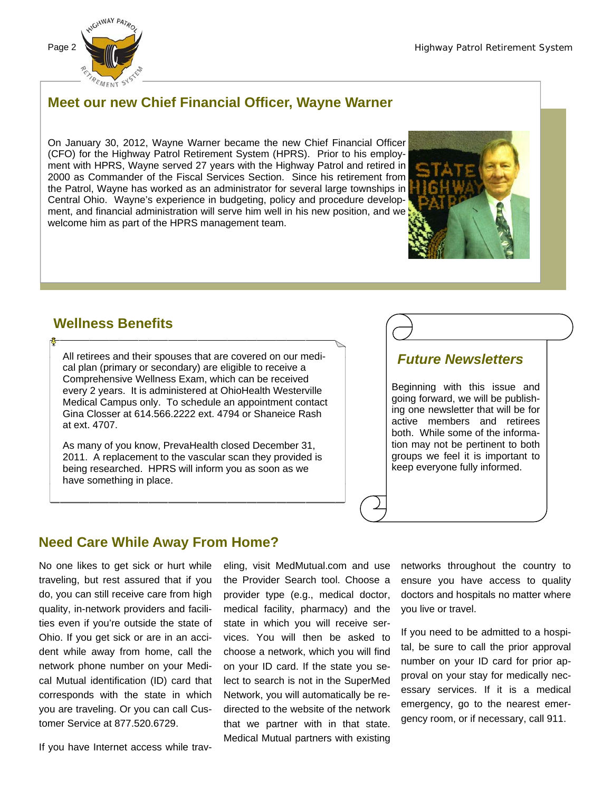

## **Meet our new Chief Financial Officer, Wayne Warner**

On January 30, 2012, Wayne Warner became the new Chief Financial Officer (CFO) for the Highway Patrol Retirement System (HPRS). Prior to his employment with HPRS, Wayne served 27 years with the Highway Patrol and retired in 2000 as Commander of the Fiscal Services Section. Since his retirement from the Patrol, Wayne has worked as an administrator for several large townships in Central Ohio. Wayne's experience in budgeting, policy and procedure development, and financial administration will serve him well in his new position, and we welcome him as part of the HPRS management team.



#### **Wellness Benefits**

All retirees and their spouses that are covered on our medical plan (primary or secondary) are eligible to receive a Comprehensive Wellness Exam, which can be received every 2 years. It is administered at OhioHealth Westerville Medical Campus only. To schedule an appointment contact Gina Closser at 614.566.2222 ext. 4794 or Shaneice Rash at ext. 4707.

As many of you know, PrevaHealth closed December 31, 2011. A replacement to the vascular scan they provided is being researched. HPRS will inform you as soon as we have something in place.

#### *Future Newsletters*

Beginning with this issue and going forward, we will be publishing one newsletter that will be for active members and retirees both. While some of the information may not be pertinent to both groups we feel it is important to keep everyone fully informed.

# **Need Care While Away From Home?**

No one likes to get sick or hurt while traveling, but rest assured that if you do, you can still receive care from high quality, in-network providers and facilities even if you're outside the state of Ohio. If you get sick or are in an accident while away from home, call the network phone number on your Medical Mutual identification (ID) card that corresponds with the state in which you are traveling. Or you can call Customer Service at 877.520.6729.

If you have Internet access while trav-

eling, visit MedMutual.com and use the Provider Search tool. Choose a provider type (e.g., medical doctor, medical facility, pharmacy) and the state in which you will receive services. You will then be asked to choose a network, which you will find on your ID card. If the state you select to search is not in the SuperMed Network, you will automatically be redirected to the website of the network that we partner with in that state. Medical Mutual partners with existing

networks throughout the country to ensure you have access to quality doctors and hospitals no matter where you live or travel.

If you need to be admitted to a hospital, be sure to call the prior approval number on your ID card for prior approval on your stay for medically necessary services. If it is a medical emergency, go to the nearest emergency room, or if necessary, call 911.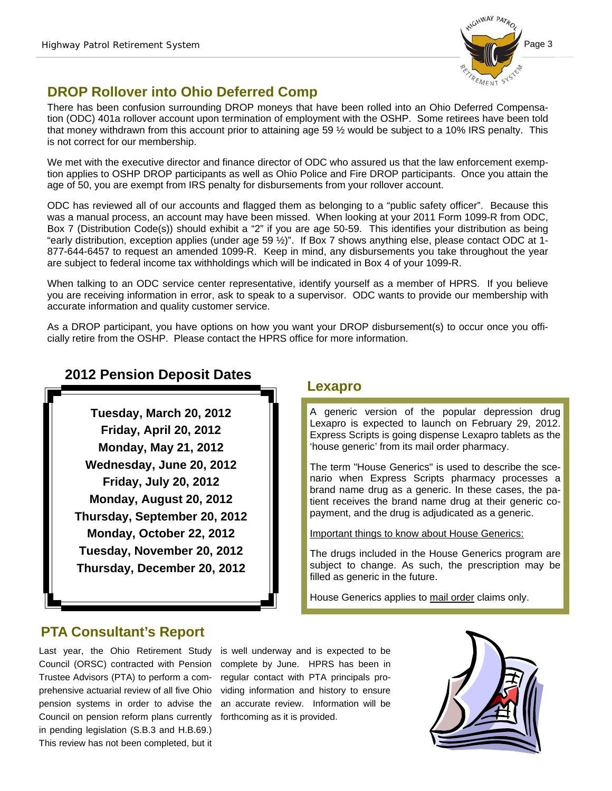

# **DROP Rollover into Ohio Deferred Comp**

There has been confusion surrounding DROP moneys that have been rolled into an Ohio Deferred Compensation (ODC) 401a rollover account upon termination of employment with the OSHP. Some retirees have been told that money withdrawn from this account prior to attaining age 59 ½ would be subject to a 10% IRS penalty. This is not correct for our membership.

We met with the executive director and finance director of ODC who assured us that the law enforcement exemption applies to OSHP DROP participants as well as Ohio Police and Fire DROP participants. Once you attain the age of 50, you are exempt from IRS penalty for disbursements from your rollover account.

ODC has reviewed all of our accounts and flagged them as belonging to a "public safety officer". Because this was a manual process, an account may have been missed. When looking at your 2011 Form 1099-R from ODC, Box 7 (Distribution Code(s)) should exhibit a "2" if you are age 50-59. This identifies your distribution as being "early distribution, exception applies (under age 59  $\frac{1}{2}$ )". If Box 7 shows anything else, please contact ODC at 1-877-644-6457 to request an amended 1099-R. Keep in mind, any disbursements you take throughout the year are subject to federal income tax withholdings which will be indicated in Box 4 of your 1099-R.

When talking to an ODC service center representative, identify yourself as a member of HPRS. If you believe you are receiving information in error, ask to speak to a supervisor. ODC wants to provide our membership with accurate information and quality customer service.

As a DROP participant, you have options on how you want your DROP disbursement(s) to occur once you officially retire from the OSHP. Please contact the HPRS office for more information.

# **2012 Pension Deposit Dates**

**Tuesday, March 20, 2012 Friday, April 20, 2012 Monday, May 21, 2012 Wednesday, June 20, 2012 Friday, July 20, 2012 Monday, August 20, 2012 Thursday, September 20, 2012 Monday, October 22, 2012 Tuesday, November 20, 2012 Thursday, December 20, 2012** 

#### **Lexapro**

A generic version of the popular depression drug Lexapro is expected to launch on February 29, 2012. Express Scripts is going dispense Lexapro tablets as the 'house generic' from its mail order pharmacy.

The term "House Generics" is used to describe the scenario when Express Scripts pharmacy processes a brand name drug as a generic. In these cases, the patient receives the brand name drug at their generic copayment, and the drug is adjudicated as a generic.

Important things to know about House Generics:

The drugs included in the House Generics program are subject to change. As such, the prescription may be filled as generic in the future.

House Generics applies to mail order claims only.

## **PTA Consultant's Report**

Last year, the Ohio Retirement Study Council (ORSC) contracted with Pension Trustee Advisors (PTA) to perform a comprehensive actuarial review of all five Ohio pension systems in order to advise the Council on pension reform plans currently in pending legislation (S.B.3 and H.B.69.) This review has not been completed, but it

is well underway and is expected to be complete by June. HPRS has been in regular contact with PTA principals providing information and history to ensure an accurate review. Information will be forthcoming as it is provided.

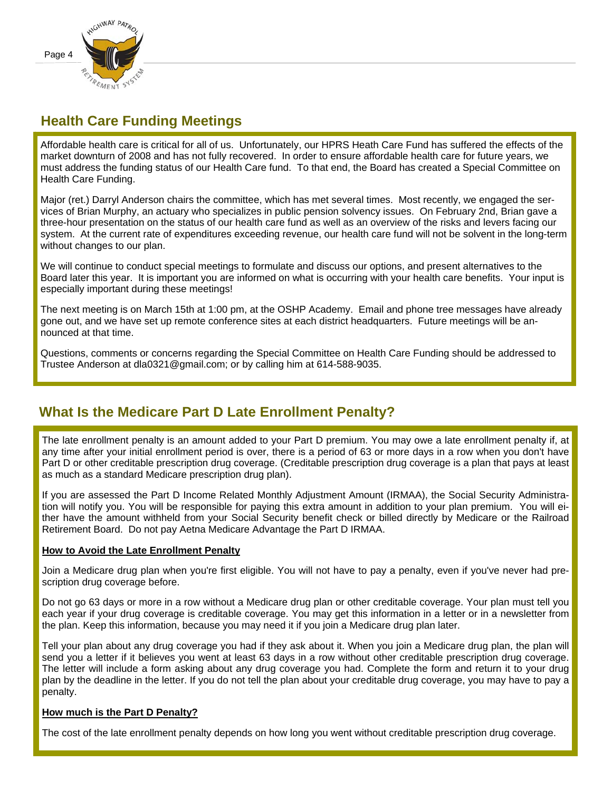

## **Health Care Funding Meetings**

Affordable health care is critical for all of us. Unfortunately, our HPRS Heath Care Fund has suffered the effects of the market downturn of 2008 and has not fully recovered. In order to ensure affordable health care for future years, we must address the funding status of our Health Care fund. To that end, the Board has created a Special Committee on Health Care Funding.

Major (ret.) Darryl Anderson chairs the committee, which has met several times. Most recently, we engaged the services of Brian Murphy, an actuary who specializes in public pension solvency issues. On February 2nd, Brian gave a three-hour presentation on the status of our health care fund as well as an overview of the risks and levers facing our system. At the current rate of expenditures exceeding revenue, our health care fund will not be solvent in the long-term without changes to our plan.

We will continue to conduct special meetings to formulate and discuss our options, and present alternatives to the Board later this year. It is important you are informed on what is occurring with your health care benefits. Your input is especially important during these meetings!

The next meeting is on March 15th at 1:00 pm, at the OSHP Academy. Email and phone tree messages have already gone out, and we have set up remote conference sites at each district headquarters. Future meetings will be announced at that time.

Questions, comments or concerns regarding the Special Committee on Health Care Funding should be addressed to Trustee Anderson at dla0321@gmail.com; or by calling him at 614-588-9035.

## **What Is the Medicare Part D Late Enrollment Penalty?**

The late enrollment penalty is an amount added to your Part D premium. You may owe a late enrollment penalty if, at any time after your initial enrollment period is over, there is a period of 63 or more days in a row when you don't have Part D or other creditable prescription drug coverage. (Creditable prescription drug coverage is a plan that pays at least as much as a standard Medicare prescription drug plan).

If you are assessed the Part D Income Related Monthly Adjustment Amount (IRMAA), the Social Security Administration will notify you. You will be responsible for paying this extra amount in addition to your plan premium. You will either have the amount withheld from your Social Security benefit check or billed directly by Medicare or the Railroad Retirement Board. Do not pay Aetna Medicare Advantage the Part D IRMAA.

#### **How to Avoid the Late Enrollment Penalty**

Join a Medicare drug plan when you're first eligible. You will not have to pay a penalty, even if you've never had prescription drug coverage before.

Do not go 63 days or more in a row without a Medicare drug plan or other creditable coverage. Your plan must tell you each year if your drug coverage is creditable coverage. You may get this information in a letter or in a newsletter from the plan. Keep this information, because you may need it if you join a Medicare drug plan later.

Tell your plan about any drug coverage you had if they ask about it. When you join a Medicare drug plan, the plan will send you a letter if it believes you went at least 63 days in a row without other creditable prescription drug coverage. The letter will include a form asking about any drug coverage you had. Complete the form and return it to your drug plan by the deadline in the letter. If you do not tell the plan about your creditable drug coverage, you may have to pay a penalty.

#### **How much is the Part D Penalty?**

The cost of the late enrollment penalty depends on how long you went without creditable prescription drug coverage.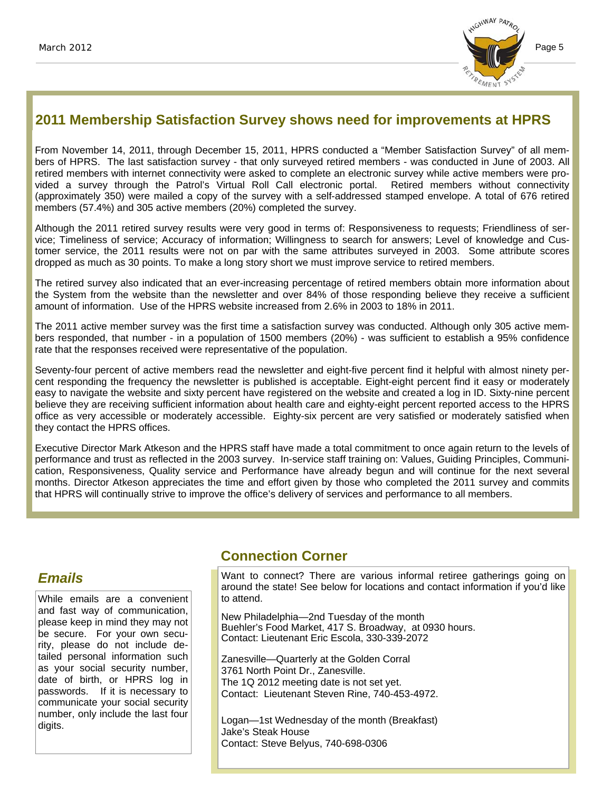

## **2011 Membership Satisfaction Survey shows need for improvements at HPRS**

From November 14, 2011, through December 15, 2011, HPRS conducted a "Member Satisfaction Survey" of all members of HPRS. The last satisfaction survey - that only surveyed retired members - was conducted in June of 2003. All retired members with internet connectivity were asked to complete an electronic survey while active members were provided a survey through the Patrol's Virtual Roll Call electronic portal. Retired members without connectivity (approximately 350) were mailed a copy of the survey with a self-addressed stamped envelope. A total of 676 retired members (57.4%) and 305 active members (20%) completed the survey.

Although the 2011 retired survey results were very good in terms of: Responsiveness to requests; Friendliness of service; Timeliness of service; Accuracy of information; Willingness to search for answers; Level of knowledge and Customer service, the 2011 results were not on par with the same attributes surveyed in 2003. Some attribute scores dropped as much as 30 points. To make a long story short we must improve service to retired members.

The retired survey also indicated that an ever-increasing percentage of retired members obtain more information about the System from the website than the newsletter and over 84% of those responding believe they receive a sufficient amount of information. Use of the HPRS website increased from 2.6% in 2003 to 18% in 2011.

The 2011 active member survey was the first time a satisfaction survey was conducted. Although only 305 active members responded, that number - in a population of 1500 members (20%) - was sufficient to establish a 95% confidence rate that the responses received were representative of the population.

Seventy-four percent of active members read the newsletter and eight-five percent find it helpful with almost ninety percent responding the frequency the newsletter is published is acceptable. Eight-eight percent find it easy or moderately easy to navigate the website and sixty percent have registered on the website and created a log in ID. Sixty-nine percent believe they are receiving sufficient information about health care and eighty-eight percent reported access to the HPRS office as very accessible or moderately accessible. Eighty-six percent are very satisfied or moderately satisfied when they contact the HPRS offices.

Executive Director Mark Atkeson and the HPRS staff have made a total commitment to once again return to the levels of performance and trust as reflected in the 2003 survey. In-service staff training on: Values, Guiding Principles, Communication, Responsiveness, Quality service and Performance have already begun and will continue for the next several months. Director Atkeson appreciates the time and effort given by those who completed the 2011 survey and commits that HPRS will continually strive to improve the office's delivery of services and performance to all members.

## *Emails*

While emails are a convenient and fast way of communication, please keep in mind they may not be secure. For your own security, please do not include detailed personal information such as your social security number, date of birth, or HPRS log in passwords. If it is necessary to communicate your social security number, only include the last four digits.

## **Connection Corner**

Want to connect? There are various informal retiree gatherings going on around the state! See below for locations and contact information if you'd like to attend.

New Philadelphia—2nd Tuesday of the month Buehler's Food Market, 417 S. Broadway, at 0930 hours. Contact: Lieutenant Eric Escola, 330-339-2072

Zanesville—Quarterly at the Golden Corral 3761 North Point Dr., Zanesville. The 1Q 2012 meeting date is not set yet. Contact: Lieutenant Steven Rine, 740-453-4972.

Logan—1st Wednesday of the month (Breakfast) Jake's Steak House Contact: Steve Belyus, 740-698-0306